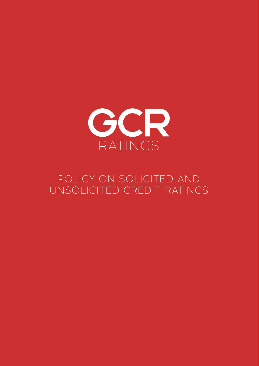

# POLICY ON SOLICITED AND UNSOLICITED CREDIT RATINGS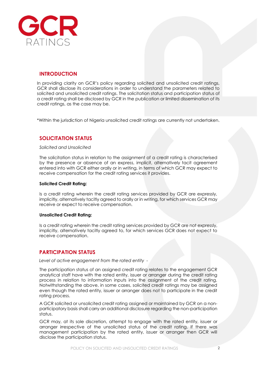

## **INTRODUCTION**

In providing clarity on GCR's policy regarding solicited and unsolicited credit ratings, GCR shall disclose its considerations in order to understand the parameters related to solicited and unsolicited credit ratings. The solicitation status and participation status of a credit rating shall be disclosed by GCR in the publication or limited dissemination of its credit ratings, as the case may be.

\*Within the jurisdiction of Nigeria unsolicited credit ratings are currently not undertaken.

## **SOLICITATION STATUS**

#### *Solicited and Unsolicited*

The solicitation status in relation to the assignment of a credit rating is characterised by the presence or absence of an express, implicit, alternatively tacit agreement entered into with GCR either orally or in writing, in terms of which GCR may expect to receive compensation for the credit rating services it provides.

#### **Solicited Credit Rating:**

Is a credit rating wherein the credit rating services provided by GCR are expressly, implicitly, alternatively tacitly agreed to orally or in writing, for which services GCR may receive or expect to receive compensation.

#### **Unsolicited Credit Rating:**

Is a credit rating wherein the credit rating services provided by GCR are not expressly, implicitly, alternatively tacitly agreed to, for which services GCR does not expect to receive compensation.

### **PARTICIPATION STATUS**

*Level of active engagement from the rated entity -*

The participation status of an assigned credit rating relates to the engagement GCR analytical staff have with the rated entity, issuer or arranger during the credit rating process in relation to information inputs into the assignment of the credit rating. Notwithstanding the above, in some cases, solicited credit ratings may be assigned even though the rated entity, issuer or arranger does not to participate in the credit rating process.

A GCR solicited or unsolicited credit rating assigned or maintained by GCR on a nonparticipatory basis shall carry an additional disclosure regarding the non-participation status.

GCR may, at its sole discretion, attempt to engage with the rated entity, issuer or arranger irrespective of the unsolicited status of the credit rating. If there was management participation by the rated entity, issuer or arranger then GCR will disclose the participation status.